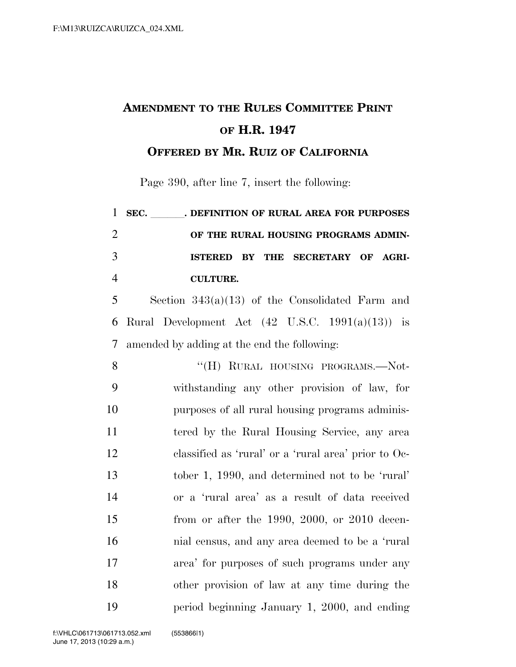## **AMENDMENT TO THE RULES COMMITTEE PRINT OF H.R. 1947**

**OFFERED BY MR. RUIZ OF CALIFORNIA**

Page 390, after line 7, insert the following:

| $\mathbf{1}$   | SEC. DEFINITION OF RURAL AREA FOR PURPOSES                  |
|----------------|-------------------------------------------------------------|
| $\overline{2}$ | OF THE RURAL HOUSING PROGRAMS ADMIN-                        |
| 3              | BY THE SECRETARY OF AGRI-<br><b>ISTERED</b>                 |
| $\overline{4}$ | <b>CULTURE.</b>                                             |
| 5              | Section $343(a)(13)$ of the Consolidated Farm and           |
| 6              | Rural Development Act $(42 \text{ U.S.C. } 1991(a)(13))$ is |
| $\tau$         | amended by adding at the end the following:                 |
| 8              | "(H) RURAL HOUSING PROGRAMS.—Not-                           |
| 9              | withstanding any other provision of law, for                |
| 10             | purposes of all rural housing programs adminis-             |
| 11             | tered by the Rural Housing Service, any area                |
| 12             | classified as 'rural' or a 'rural area' prior to Oc-        |
| 13             | tober 1, 1990, and determined not to be 'rural'             |
| 14             | or a 'rural area' as a result of data received              |
| 15             | from or after the 1990, 2000, or 2010 decen-                |
| 16             | nial census, and any area deemed to be a 'rural             |
| 17             | area' for purposes of such programs under any               |
| 18             | other provision of law at any time during the               |
| 19             | period beginning January 1, 2000, and ending                |